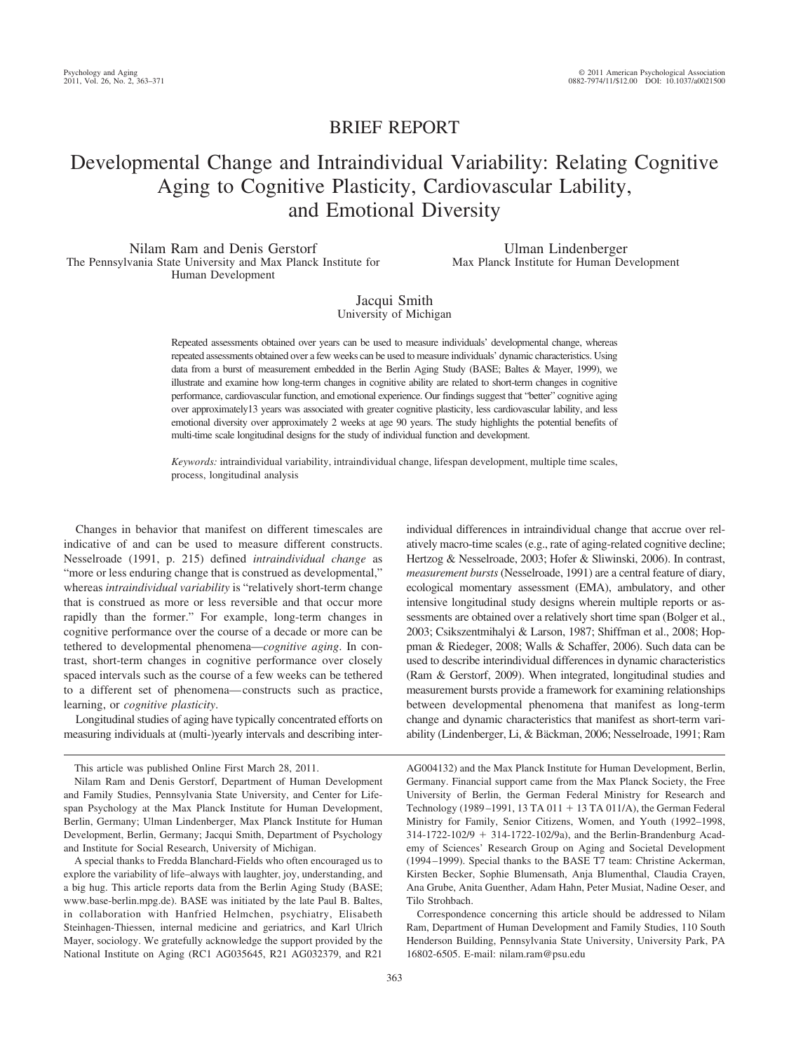# BRIEF REPORT

# Developmental Change and Intraindividual Variability: Relating Cognitive Aging to Cognitive Plasticity, Cardiovascular Lability, and Emotional Diversity

Nilam Ram and Denis Gerstorf The Pennsylvania State University and Max Planck Institute for Human Development

Ulman Lindenberger Max Planck Institute for Human Development

## Jacqui Smith University of Michigan

Repeated assessments obtained over years can be used to measure individuals' developmental change, whereas repeated assessments obtained over a few weeks can be used to measure individuals' dynamic characteristics. Using data from a burst of measurement embedded in the Berlin Aging Study (BASE; Baltes & Mayer, 1999), we illustrate and examine how long-term changes in cognitive ability are related to short-term changes in cognitive performance, cardiovascular function, and emotional experience. Our findings suggest that "better" cognitive aging over approximately13 years was associated with greater cognitive plasticity, less cardiovascular lability, and less emotional diversity over approximately 2 weeks at age 90 years. The study highlights the potential benefits of multi-time scale longitudinal designs for the study of individual function and development.

*Keywords:* intraindividual variability, intraindividual change, lifespan development, multiple time scales, process, longitudinal analysis

Changes in behavior that manifest on different timescales are indicative of and can be used to measure different constructs. Nesselroade (1991, p. 215) defined *intraindividual change* as "more or less enduring change that is construed as developmental," whereas *intraindividual variability* is "relatively short-term change that is construed as more or less reversible and that occur more rapidly than the former." For example, long-term changes in cognitive performance over the course of a decade or more can be tethered to developmental phenomena—*cognitive aging*. In contrast, short-term changes in cognitive performance over closely spaced intervals such as the course of a few weeks can be tethered to a different set of phenomena— constructs such as practice, learning, or *cognitive plasticity*.

Longitudinal studies of aging have typically concentrated efforts on measuring individuals at (multi-)yearly intervals and describing inter-

This article was published Online First March 28, 2011.

A special thanks to Fredda Blanchard-Fields who often encouraged us to explore the variability of life–always with laughter, joy, understanding, and a big hug. This article reports data from the Berlin Aging Study (BASE; www.base-berlin.mpg.de). BASE was initiated by the late Paul B. Baltes, in collaboration with Hanfried Helmchen, psychiatry, Elisabeth Steinhagen-Thiessen, internal medicine and geriatrics, and Karl Ulrich Mayer, sociology. We gratefully acknowledge the support provided by the National Institute on Aging (RC1 AG035645, R21 AG032379, and R21

individual differences in intraindividual change that accrue over relatively macro-time scales (e.g., rate of aging-related cognitive decline; Hertzog & Nesselroade, 2003; Hofer & Sliwinski, 2006). In contrast, *measurement bursts* (Nesselroade, 1991) are a central feature of diary, ecological momentary assessment (EMA), ambulatory, and other intensive longitudinal study designs wherein multiple reports or assessments are obtained over a relatively short time span (Bolger et al., 2003; Csikszentmihalyi & Larson, 1987; Shiffman et al., 2008; Hoppman & Riedeger, 2008; Walls & Schaffer, 2006). Such data can be used to describe interindividual differences in dynamic characteristics (Ram & Gerstorf, 2009). When integrated, longitudinal studies and measurement bursts provide a framework for examining relationships between developmental phenomena that manifest as long-term change and dynamic characteristics that manifest as short-term variability (Lindenberger, Li, & Bäckman, 2006; Nesselroade, 1991; Ram

AG004132) and the Max Planck Institute for Human Development, Berlin, Germany. Financial support came from the Max Planck Society, the Free University of Berlin, the German Federal Ministry for Research and Technology (1989-1991, 13 TA 011 + 13 TA 011/A), the German Federal Ministry for Family, Senior Citizens, Women, and Youth (1992–1998,  $314-1722-102/9 + 314-1722-102/9a$ , and the Berlin-Brandenburg Academy of Sciences' Research Group on Aging and Societal Development (1994 –1999). Special thanks to the BASE T7 team: Christine Ackerman, Kirsten Becker, Sophie Blumensath, Anja Blumenthal, Claudia Crayen, Ana Grube, Anita Guenther, Adam Hahn, Peter Musiat, Nadine Oeser, and Tilo Strohbach.

Correspondence concerning this article should be addressed to Nilam Ram, Department of Human Development and Family Studies, 110 South Henderson Building, Pennsylvania State University, University Park, PA 16802-6505. E-mail: nilam.ram@psu.edu

Nilam Ram and Denis Gerstorf, Department of Human Development and Family Studies, Pennsylvania State University, and Center for Lifespan Psychology at the Max Planck Institute for Human Development, Berlin, Germany; Ulman Lindenberger, Max Planck Institute for Human Development, Berlin, Germany; Jacqui Smith, Department of Psychology and Institute for Social Research, University of Michigan.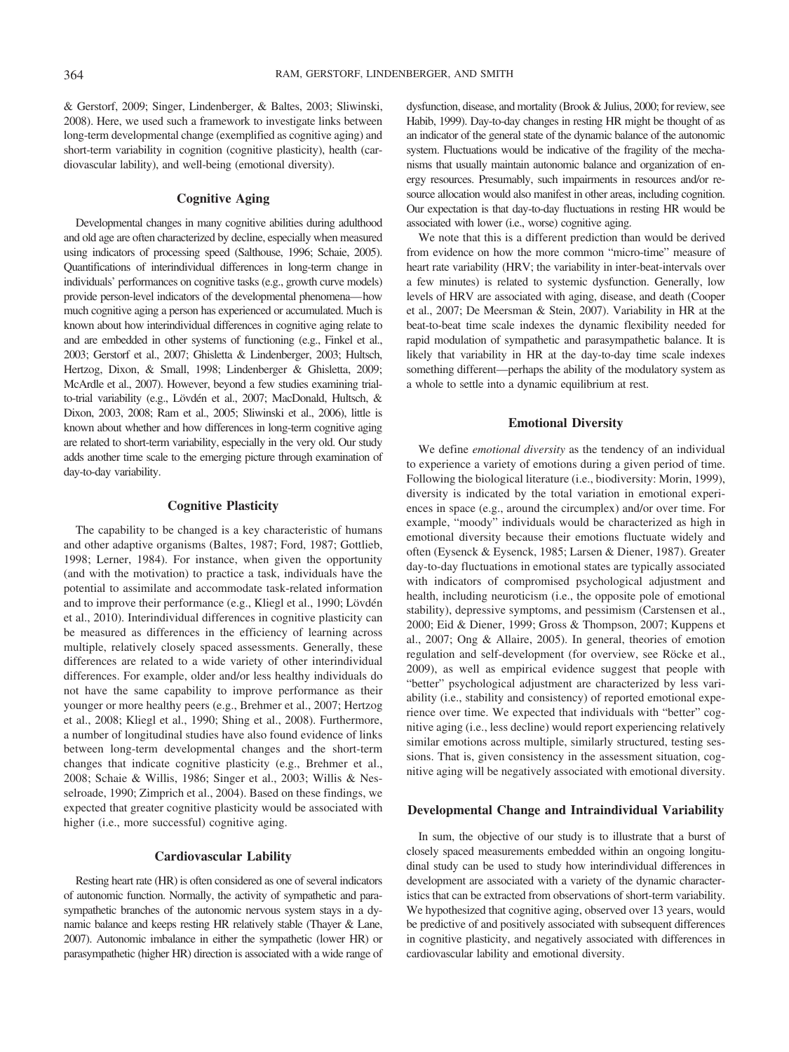& Gerstorf, 2009; Singer, Lindenberger, & Baltes, 2003; Sliwinski, 2008). Here, we used such a framework to investigate links between long-term developmental change (exemplified as cognitive aging) and short-term variability in cognition (cognitive plasticity), health (cardiovascular lability), and well-being (emotional diversity).

#### **Cognitive Aging**

Developmental changes in many cognitive abilities during adulthood and old age are often characterized by decline, especially when measured using indicators of processing speed (Salthouse, 1996; Schaie, 2005). Quantifications of interindividual differences in long-term change in individuals' performances on cognitive tasks (e.g., growth curve models) provide person-level indicators of the developmental phenomena—how much cognitive aging a person has experienced or accumulated. Much is known about how interindividual differences in cognitive aging relate to and are embedded in other systems of functioning (e.g., Finkel et al., 2003; Gerstorf et al., 2007; Ghisletta & Lindenberger, 2003; Hultsch, Hertzog, Dixon, & Small, 1998; Lindenberger & Ghisletta, 2009; McArdle et al., 2007). However, beyond a few studies examining trialto-trial variability (e.g., Lövdén et al., 2007; MacDonald, Hultsch, & Dixon, 2003, 2008; Ram et al., 2005; Sliwinski et al., 2006), little is known about whether and how differences in long-term cognitive aging are related to short-term variability, especially in the very old. Our study adds another time scale to the emerging picture through examination of day-to-day variability.

#### **Cognitive Plasticity**

The capability to be changed is a key characteristic of humans and other adaptive organisms (Baltes, 1987; Ford, 1987; Gottlieb, 1998; Lerner, 1984). For instance, when given the opportunity (and with the motivation) to practice a task, individuals have the potential to assimilate and accommodate task-related information and to improve their performance (e.g., Kliegl et al., 1990; Lövdén et al., 2010). Interindividual differences in cognitive plasticity can be measured as differences in the efficiency of learning across multiple, relatively closely spaced assessments. Generally, these differences are related to a wide variety of other interindividual differences. For example, older and/or less healthy individuals do not have the same capability to improve performance as their younger or more healthy peers (e.g., Brehmer et al., 2007; Hertzog et al., 2008; Kliegl et al., 1990; Shing et al., 2008). Furthermore, a number of longitudinal studies have also found evidence of links between long-term developmental changes and the short-term changes that indicate cognitive plasticity (e.g., Brehmer et al., 2008; Schaie & Willis, 1986; Singer et al., 2003; Willis & Nesselroade, 1990; Zimprich et al., 2004). Based on these findings, we expected that greater cognitive plasticity would be associated with higher (i.e., more successful) cognitive aging.

#### **Cardiovascular Lability**

Resting heart rate (HR) is often considered as one of several indicators of autonomic function. Normally, the activity of sympathetic and parasympathetic branches of the autonomic nervous system stays in a dynamic balance and keeps resting HR relatively stable (Thayer & Lane, 2007). Autonomic imbalance in either the sympathetic (lower HR) or parasympathetic (higher HR) direction is associated with a wide range of dysfunction, disease, and mortality (Brook & Julius, 2000; for review, see Habib, 1999). Day-to-day changes in resting HR might be thought of as an indicator of the general state of the dynamic balance of the autonomic system. Fluctuations would be indicative of the fragility of the mechanisms that usually maintain autonomic balance and organization of energy resources. Presumably, such impairments in resources and/or resource allocation would also manifest in other areas, including cognition. Our expectation is that day-to-day fluctuations in resting HR would be associated with lower (i.e., worse) cognitive aging.

We note that this is a different prediction than would be derived from evidence on how the more common "micro-time" measure of heart rate variability (HRV; the variability in inter-beat-intervals over a few minutes) is related to systemic dysfunction. Generally, low levels of HRV are associated with aging, disease, and death (Cooper et al., 2007; De Meersman & Stein, 2007). Variability in HR at the beat-to-beat time scale indexes the dynamic flexibility needed for rapid modulation of sympathetic and parasympathetic balance. It is likely that variability in HR at the day-to-day time scale indexes something different—perhaps the ability of the modulatory system as a whole to settle into a dynamic equilibrium at rest.

#### **Emotional Diversity**

We define *emotional diversity* as the tendency of an individual to experience a variety of emotions during a given period of time. Following the biological literature (i.e., biodiversity: Morin, 1999), diversity is indicated by the total variation in emotional experiences in space (e.g., around the circumplex) and/or over time. For example, "moody" individuals would be characterized as high in emotional diversity because their emotions fluctuate widely and often (Eysenck & Eysenck, 1985; Larsen & Diener, 1987). Greater day-to-day fluctuations in emotional states are typically associated with indicators of compromised psychological adjustment and health, including neuroticism (i.e., the opposite pole of emotional stability), depressive symptoms, and pessimism (Carstensen et al., 2000; Eid & Diener, 1999; Gross & Thompson, 2007; Kuppens et al., 2007; Ong & Allaire, 2005). In general, theories of emotion regulation and self-development (for overview, see Röcke et al., 2009), as well as empirical evidence suggest that people with "better" psychological adjustment are characterized by less variability (i.e., stability and consistency) of reported emotional experience over time. We expected that individuals with "better" cognitive aging (i.e., less decline) would report experiencing relatively similar emotions across multiple, similarly structured, testing sessions. That is, given consistency in the assessment situation, cognitive aging will be negatively associated with emotional diversity.

#### **Developmental Change and Intraindividual Variability**

In sum, the objective of our study is to illustrate that a burst of closely spaced measurements embedded within an ongoing longitudinal study can be used to study how interindividual differences in development are associated with a variety of the dynamic characteristics that can be extracted from observations of short-term variability. We hypothesized that cognitive aging, observed over 13 years, would be predictive of and positively associated with subsequent differences in cognitive plasticity, and negatively associated with differences in cardiovascular lability and emotional diversity.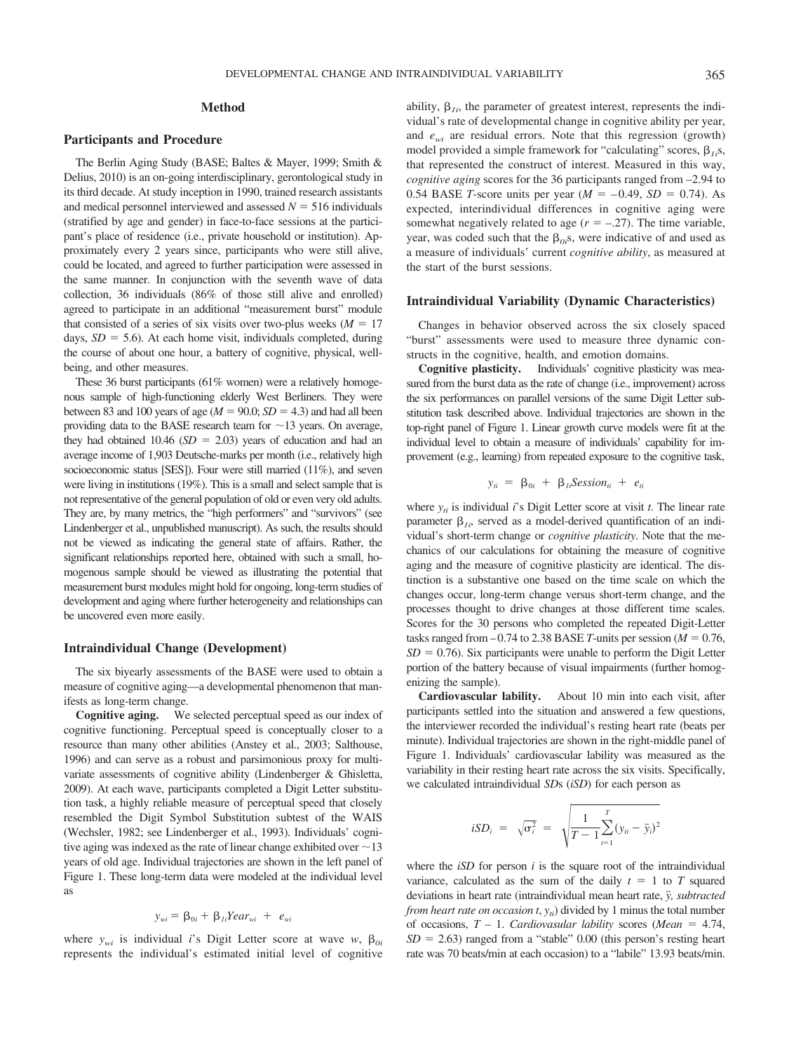#### **Method**

#### **Participants and Procedure**

The Berlin Aging Study (BASE; Baltes & Mayer, 1999; Smith & Delius, 2010) is an on-going interdisciplinary, gerontological study in its third decade. At study inception in 1990, trained research assistants and medical personnel interviewed and assessed  $N = 516$  individuals (stratified by age and gender) in face-to-face sessions at the participant's place of residence (i.e., private household or institution). Approximately every 2 years since, participants who were still alive, could be located, and agreed to further participation were assessed in the same manner. In conjunction with the seventh wave of data collection, 36 individuals (86% of those still alive and enrolled) agreed to participate in an additional "measurement burst" module that consisted of a series of six visits over two-plus weeks  $(M = 17)$ days,  $SD = 5.6$ ). At each home visit, individuals completed, during the course of about one hour, a battery of cognitive, physical, wellbeing, and other measures.

These 36 burst participants (61% women) were a relatively homogenous sample of high-functioning elderly West Berliners. They were between 83 and 100 years of age ( $M = 90.0$ ;  $SD = 4.3$ ) and had all been providing data to the BASE research team for  $\sim$ 13 years. On average, they had obtained 10.46  $(SD = 2.03)$  years of education and had an average income of 1,903 Deutsche-marks per month (i.e., relatively high socioeconomic status [SES]). Four were still married (11%), and seven were living in institutions (19%). This is a small and select sample that is not representative of the general population of old or even very old adults. They are, by many metrics, the "high performers" and "survivors" (see Lindenberger et al., unpublished manuscript). As such, the results should not be viewed as indicating the general state of affairs. Rather, the significant relationships reported here, obtained with such a small, homogenous sample should be viewed as illustrating the potential that measurement burst modules might hold for ongoing, long-term studies of development and aging where further heterogeneity and relationships can be uncovered even more easily.

#### **Intraindividual Change (Development)**

The six biyearly assessments of the BASE were used to obtain a measure of cognitive aging—a developmental phenomenon that manifests as long-term change.

**Cognitive aging.** We selected perceptual speed as our index of cognitive functioning. Perceptual speed is conceptually closer to a resource than many other abilities (Anstey et al., 2003; Salthouse, 1996) and can serve as a robust and parsimonious proxy for multivariate assessments of cognitive ability (Lindenberger & Ghisletta, 2009). At each wave, participants completed a Digit Letter substitution task, a highly reliable measure of perceptual speed that closely resembled the Digit Symbol Substitution subtest of the WAIS (Wechsler, 1982; see Lindenberger et al., 1993). Individuals' cognitive aging was indexed as the rate of linear change exhibited over  $\sim$  13 years of old age. Individual trajectories are shown in the left panel of Figure 1. These long-term data were modeled at the individual level as

$$
y_{wi} = \beta_{0i} + \beta_{1i} Year_{wi} + e_{wi}
$$

where  $y_{wi}$  is individual *i*'s Digit Letter score at wave *w*,  $\beta_{0i}$ represents the individual's estimated initial level of cognitive ability,  $\beta_{1i}$ , the parameter of greatest interest, represents the individual's rate of developmental change in cognitive ability per year, and  $e_{wi}$  are residual errors. Note that this regression (growth) model provided a simple framework for "calculating" scores,  $\beta_{i}$ ,  $\beta$ , that represented the construct of interest. Measured in this way, *cognitive aging* scores for the 36 participants ranged from –2.94 to 0.54 BASE *T*-score units per year ( $M = -0.49$ ,  $SD = 0.74$ ). As expected, interindividual differences in cognitive aging were somewhat negatively related to age  $(r = -.27)$ . The time variable, year, was coded such that the  $\beta_{0i}$ s, were indicative of and used as a measure of individuals' current *cognitive ability*, as measured at the start of the burst sessions.

#### **Intraindividual Variability (Dynamic Characteristics)**

Changes in behavior observed across the six closely spaced "burst" assessments were used to measure three dynamic constructs in the cognitive, health, and emotion domains.

**Cognitive plasticity.** Individuals' cognitive plasticity was measured from the burst data as the rate of change (i.e., improvement) across the six performances on parallel versions of the same Digit Letter substitution task described above. Individual trajectories are shown in the top-right panel of Figure 1. Linear growth curve models were fit at the individual level to obtain a measure of individuals' capability for improvement (e.g., learning) from repeated exposure to the cognitive task,

$$
y_{ti} = \beta_{0i} + \beta_{li}Session_{ti} + e_{ti}
$$

where  $y_{ti}$  is individual *i*'s Digit Letter score at visit *t*. The linear rate parameter  $\beta_{1i}$ , served as a model-derived quantification of an individual's short-term change or *cognitive plasticity*. Note that the mechanics of our calculations for obtaining the measure of cognitive aging and the measure of cognitive plasticity are identical. The distinction is a substantive one based on the time scale on which the changes occur, long-term change versus short-term change, and the processes thought to drive changes at those different time scales. Scores for the 30 persons who completed the repeated Digit-Letter tasks ranged from  $-0.74$  to 2.38 BASE *T*-units per session ( $M = 0.76$ ,  $SD = 0.76$ . Six participants were unable to perform the Digit Letter portion of the battery because of visual impairments (further homogenizing the sample).

**Cardiovascular lability.** About 10 min into each visit, after participants settled into the situation and answered a few questions, the interviewer recorded the individual's resting heart rate (beats per minute). Individual trajectories are shown in the right-middle panel of Figure 1. Individuals' cardiovascular lability was measured as the variability in their resting heart rate across the six visits. Specifically, we calculated intraindividual *SD*s (*iSD*) for each person as

$$
iSD_i = \sqrt{\sigma_i^2} = \sqrt{\frac{1}{T-1} \sum_{i=1}^{T} (y_{ii} - \bar{y}_i)^2}
$$

where the *iSD* for person *i* is the square root of the intraindividual variance, calculated as the sum of the daily  $t = 1$  to  $T$  squared deviations in heart rate (intraindividual mean heart rate, *y*!*, subtracted from heart rate on occasion t*,  $y_{ti}$  divided by 1 minus the total number of occasions,  $T - 1$ . *Cardiovasular lability* scores (*Mean* = 4.74,  $SD = 2.63$ ) ranged from a "stable"  $0.00$  (this person's resting heart rate was 70 beats/min at each occasion) to a "labile" 13.93 beats/min.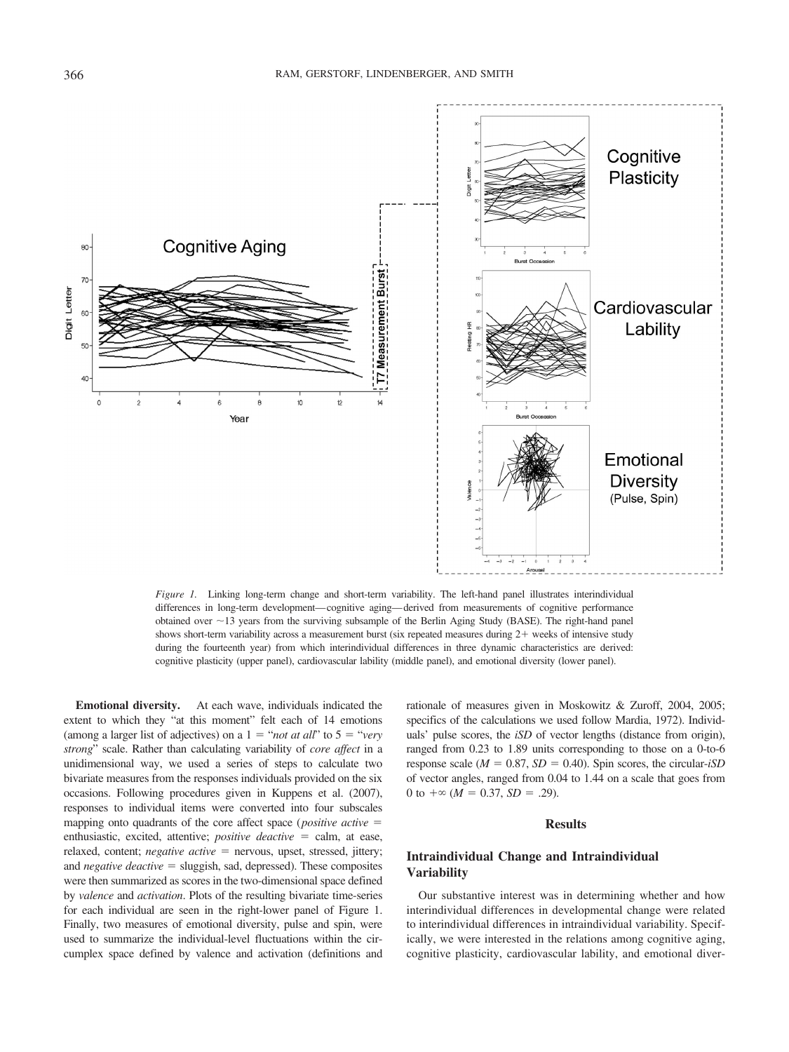

*Figure 1.* Linking long-term change and short-term variability. The left-hand panel illustrates interindividual differences in long-term development—cognitive aging— derived from measurements of cognitive performance obtained over  $\sim$  13 years from the surviving subsample of the Berlin Aging Study (BASE). The right-hand panel shows short-term variability across a measurement burst (six repeated measures during  $2+$  weeks of intensive study during the fourteenth year) from which interindividual differences in three dynamic characteristics are derived: cognitive plasticity (upper panel), cardiovascular lability (middle panel), and emotional diversity (lower panel).

**Emotional diversity.** At each wave, individuals indicated the extent to which they "at this moment" felt each of 14 emotions (among a larger list of adjectives) on a  $1 = \text{``not at all''}$  to  $5 = \text{``very}$ *strong*" scale. Rather than calculating variability of *core affect* in a unidimensional way, we used a series of steps to calculate two bivariate measures from the responses individuals provided on the six occasions. Following procedures given in Kuppens et al. (2007), responses to individual items were converted into four subscales mapping onto quadrants of the core affect space (*positive active*  $=$ enthusiastic, excited, attentive; *positive deactive*  $=$  calm, at ease, relaxed, content; *negative active* = nervous, upset, stressed, jittery; and *negative deactive*  $=$  sluggish, sad, depressed). These composites were then summarized as scores in the two-dimensional space defined by *valence* and *activation*. Plots of the resulting bivariate time-series for each individual are seen in the right-lower panel of Figure 1. Finally, two measures of emotional diversity, pulse and spin, were used to summarize the individual-level fluctuations within the circumplex space defined by valence and activation (definitions and rationale of measures given in Moskowitz & Zuroff, 2004, 2005; specifics of the calculations we used follow Mardia, 1972). Individuals' pulse scores, the *iSD* of vector lengths (distance from origin), ranged from 0.23 to 1.89 units corresponding to those on a 0-to-6 response scale ( $M = 0.87$ ,  $SD = 0.40$ ). Spin scores, the circular-*iSD* of vector angles, ranged from 0.04 to 1.44 on a scale that goes from 0 to  $+\infty$  (*M* = 0.37, *SD* = .29).

## **Results**

# **Intraindividual Change and Intraindividual Variability**

Our substantive interest was in determining whether and how interindividual differences in developmental change were related to interindividual differences in intraindividual variability. Specifically, we were interested in the relations among cognitive aging, cognitive plasticity, cardiovascular lability, and emotional diver-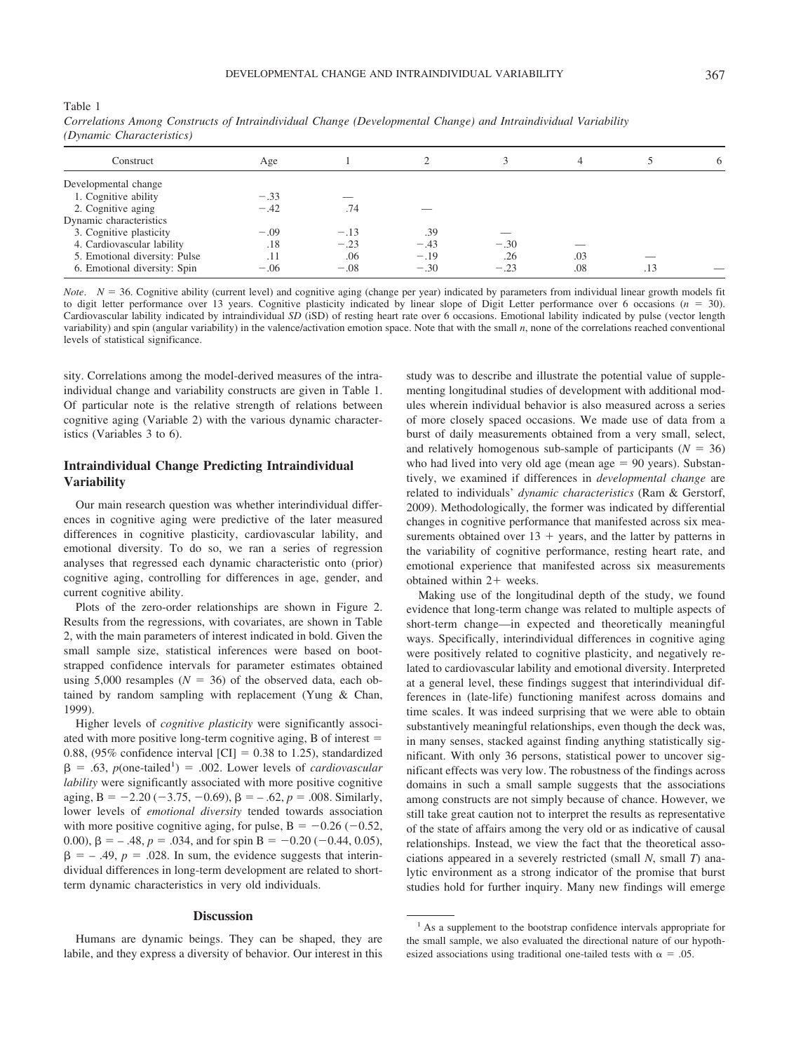| Construct                     | Age    |        |        |        | $\overline{4}$ |     | 6 |
|-------------------------------|--------|--------|--------|--------|----------------|-----|---|
| Developmental change          |        |        |        |        |                |     |   |
| 1. Cognitive ability          | $-.33$ |        |        |        |                |     |   |
| 2. Cognitive aging            | $-.42$ | .74    |        |        |                |     |   |
| Dynamic characteristics       |        |        |        |        |                |     |   |
| 3. Cognitive plasticity       | $-.09$ | $-.13$ | .39    |        |                |     |   |
| 4. Cardiovascular lability    | .18    | $-.23$ | $-.43$ | $-.30$ |                |     |   |
| 5. Emotional diversity: Pulse | .11    | .06    | $-.19$ | .26    | .03            | __  |   |
| 6. Emotional diversity: Spin  | $-.06$ | $-.08$ | $-.30$ | $-.23$ | .08            | .13 |   |
|                               |        |        |        |        |                |     |   |

Table 1 *Correlations Among Constructs of Intraindividual Change (Developmental Change) and Intraindividual Variability (Dynamic Characteristics)*

*Note.*  $N = 36$ . Cognitive ability (current level) and cognitive aging (change per year) indicated by parameters from individual linear growth models fit to digit letter performance over 13 years. Cognitive plasticity indicated by linear slope of Digit Letter performance over 6 occasions ( $n = 30$ ). Cardiovascular lability indicated by intraindividual *SD* (iSD) of resting heart rate over 6 occasions. Emotional lability indicated by pulse (vector length variability) and spin (angular variability) in the valence/activation emotion space. Note that with the small *n*, none of the correlations reached conventional levels of statistical significance.

sity. Correlations among the model-derived measures of the intraindividual change and variability constructs are given in Table 1. Of particular note is the relative strength of relations between cognitive aging (Variable 2) with the various dynamic characteristics (Variables 3 to 6).

# **Intraindividual Change Predicting Intraindividual Variability**

Our main research question was whether interindividual differences in cognitive aging were predictive of the later measured differences in cognitive plasticity, cardiovascular lability, and emotional diversity. To do so, we ran a series of regression analyses that regressed each dynamic characteristic onto (prior) cognitive aging, controlling for differences in age, gender, and current cognitive ability.

Plots of the zero-order relationships are shown in Figure 2. Results from the regressions, with covariates, are shown in Table 2, with the main parameters of interest indicated in bold. Given the small sample size, statistical inferences were based on bootstrapped confidence intervals for parameter estimates obtained using 5,000 resamples  $(N = 36)$  of the observed data, each obtained by random sampling with replacement (Yung & Chan, 1999).

Higher levels of *cognitive plasticity* were significantly associated with more positive long-term cognitive aging,  $B$  of interest  $=$ 0.88, (95% confidence interval [CI] = 0.38 to 1.25), standardized  $\beta = .63$ , *p*(one-tailed<sup>1</sup>) = .002. Lower levels of *cardiovascular lability* were significantly associated with more positive cognitive aging,  $B = -2.20 (-3.75, -0.69)$ ,  $\beta = -.62$ ,  $p = .008$ . Similarly, lower levels of *emotional diversity* tended towards association with more positive cognitive aging, for pulse,  $B = -0.26$  (-0.52, 0.00),  $\beta = -.48$ ,  $p = .034$ , and for spin B  $= -0.20 (-0.44, 0.05)$ ,  $\beta$  = -.49, *p* = .028. In sum, the evidence suggests that interindividual differences in long-term development are related to shortterm dynamic characteristics in very old individuals.

#### **Discussion**

Humans are dynamic beings. They can be shaped, they are labile, and they express a diversity of behavior. Our interest in this

study was to describe and illustrate the potential value of supplementing longitudinal studies of development with additional modules wherein individual behavior is also measured across a series of more closely spaced occasions. We made use of data from a burst of daily measurements obtained from a very small, select, and relatively homogenous sub-sample of participants  $(N = 36)$ who had lived into very old age (mean age  $= 90$  years). Substantively, we examined if differences in *developmental change* are related to individuals' *dynamic characteristics* (Ram & Gerstorf, 2009). Methodologically, the former was indicated by differential changes in cognitive performance that manifested across six measurements obtained over  $13 + \text{years}$ , and the latter by patterns in the variability of cognitive performance, resting heart rate, and emotional experience that manifested across six measurements obtained within  $2+$  weeks.

Making use of the longitudinal depth of the study, we found evidence that long-term change was related to multiple aspects of short-term change—in expected and theoretically meaningful ways. Specifically, interindividual differences in cognitive aging were positively related to cognitive plasticity, and negatively related to cardiovascular lability and emotional diversity. Interpreted at a general level, these findings suggest that interindividual differences in (late-life) functioning manifest across domains and time scales. It was indeed surprising that we were able to obtain substantively meaningful relationships, even though the deck was, in many senses, stacked against finding anything statistically significant. With only 36 persons, statistical power to uncover significant effects was very low. The robustness of the findings across domains in such a small sample suggests that the associations among constructs are not simply because of chance. However, we still take great caution not to interpret the results as representative of the state of affairs among the very old or as indicative of causal relationships. Instead, we view the fact that the theoretical associations appeared in a severely restricted (small *N*, small *T*) analytic environment as a strong indicator of the promise that burst studies hold for further inquiry. Many new findings will emerge

<sup>&</sup>lt;sup>1</sup> As a supplement to the bootstrap confidence intervals appropriate for the small sample, we also evaluated the directional nature of our hypothesized associations using traditional one-tailed tests with  $\alpha = .05$ .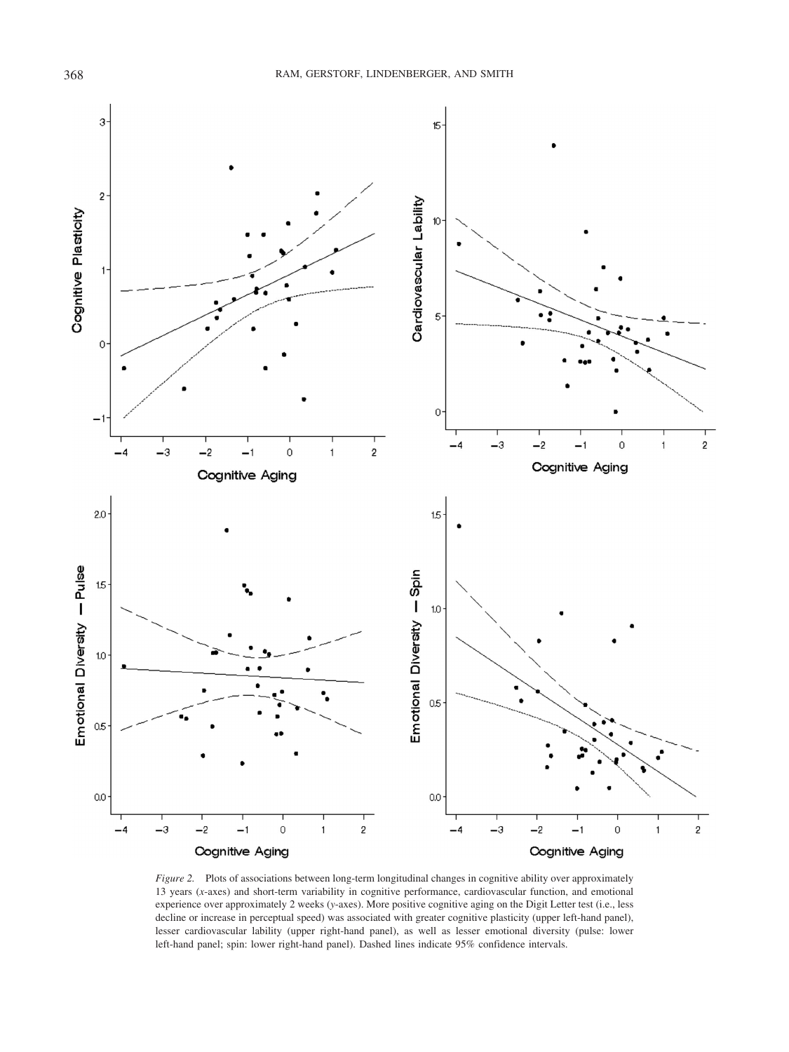

*Figure 2.* Plots of associations between long-term longitudinal changes in cognitive ability over approximately 13 years (*x*-axes) and short-term variability in cognitive performance, cardiovascular function, and emotional experience over approximately 2 weeks (*y*-axes). More positive cognitive aging on the Digit Letter test (i.e., less decline or increase in perceptual speed) was associated with greater cognitive plasticity (upper left-hand panel), lesser cardiovascular lability (upper right-hand panel), as well as lesser emotional diversity (pulse: lower left-hand panel; spin: lower right-hand panel). Dashed lines indicate 95% confidence intervals.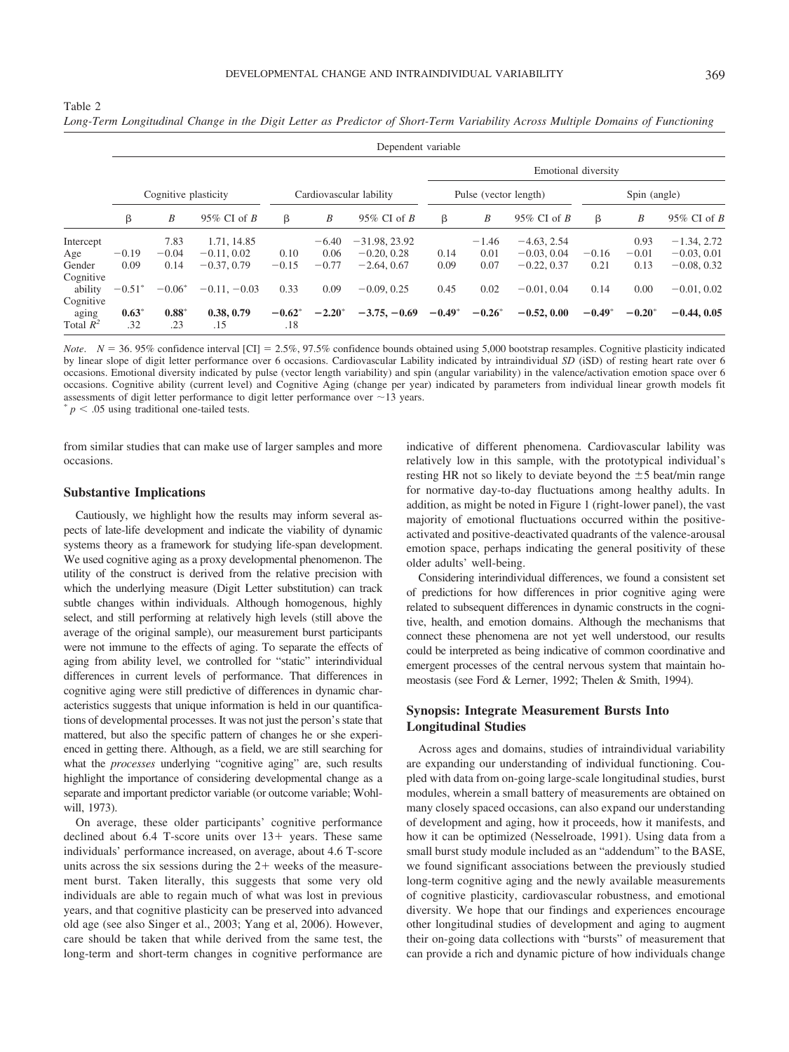|             | Dependent variable         |                  |                         |                      |                       |                 |          |              |               |          |                  |               |
|-------------|----------------------------|------------------|-------------------------|----------------------|-----------------------|-----------------|----------|--------------|---------------|----------|------------------|---------------|
|             | <b>Emotional diversity</b> |                  |                         |                      |                       |                 |          |              |               |          |                  |               |
|             | Cognitive plasticity       |                  | Cardiovascular lability |                      | Pulse (vector length) |                 |          | Spin (angle) |               |          |                  |               |
|             | β                          | $\boldsymbol{B}$ | 95% CI of $B$           | β                    | B                     | 95% CI of $B$   | β        | B            | 95% CI of $B$ | β        | $\boldsymbol{B}$ | 95% CI of B   |
| Intercept   |                            | 7.83             | 1.71, 14.85             |                      | $-6.40$               | $-31.98, 23.92$ |          | $-1.46$      | $-4.63, 2.54$ |          | 0.93             | $-1.34, 2.72$ |
| Age         | $-0.19$                    | $-0.04$          | $-0.11, 0.02$           | 0.10                 | 0.06                  | $-0.20, 0.28$   | 0.14     | 0.01         | $-0.03, 0.04$ | $-0.16$  | $-0.01$          | $-0.03, 0.01$ |
| Gender      | 0.09                       | 0.14             | $-0.37, 0.79$           | $-0.15$              | $-0.77$               | $-2.64, 0.67$   | 0.09     | 0.07         | $-0.22, 0.37$ | 0.21     | 0.13             | $-0.08, 0.32$ |
| Cognitive   |                            |                  |                         |                      |                       |                 |          |              |               |          |                  |               |
| ability     | $-0.51^*$                  | $-0.06*$         | $-0.11, -0.03$          | 0.33                 | 0.09                  | $-0.09, 0.25$   | 0.45     | 0.02         | $-0.01, 0.04$ | 0.14     | 0.00             | $-0.01, 0.02$ |
| Cognitive   |                            |                  |                         |                      |                       |                 |          |              |               |          |                  |               |
| aging       | $0.63*$                    | $0.88*$          | 0.38, 0.79              | $-0.62$ <sup>*</sup> | $-2.20^*$             | $-3.75, -0.69$  | $-0.49*$ | $-0.26^*$    | $-0.52, 0.00$ | $-0.49*$ | $-0.20^*$        | $-0.44, 0.05$ |
| Total $R^2$ | .32                        | .23              | .15                     | .18                  |                       |                 |          |              |               |          |                  |               |

*Long-Term Longitudinal Change in the Digit Letter as Predictor of Short-Term Variability Across Multiple Domains of Functioning*

*Note.*  $N = 36.95\%$  confidence interval [CI] = 2.5%, 97.5% confidence bounds obtained using 5,000 bootstrap resamples. Cognitive plasticity indicated by linear slope of digit letter performance over 6 occasions. Cardiovascular Lability indicated by intraindividual *SD* (iSD) of resting heart rate over 6 occasions. Emotional diversity indicated by pulse (vector length variability) and spin (angular variability) in the valence/activation emotion space over 6 occasions. Cognitive ability (current level) and Cognitive Aging (change per year) indicated by parameters from individual linear growth models fit assessments of digit letter performance to digit letter performance over  $\sim$ 13 years. *\* p* < .05 using traditional one-tailed tests.

from similar studies that can make use of larger samples and more occasions.

#### **Substantive Implications**

Table 2

Cautiously, we highlight how the results may inform several aspects of late-life development and indicate the viability of dynamic systems theory as a framework for studying life-span development. We used cognitive aging as a proxy developmental phenomenon. The utility of the construct is derived from the relative precision with which the underlying measure (Digit Letter substitution) can track subtle changes within individuals. Although homogenous, highly select, and still performing at relatively high levels (still above the average of the original sample), our measurement burst participants were not immune to the effects of aging. To separate the effects of aging from ability level, we controlled for "static" interindividual differences in current levels of performance. That differences in cognitive aging were still predictive of differences in dynamic characteristics suggests that unique information is held in our quantifications of developmental processes. It was not just the person's state that mattered, but also the specific pattern of changes he or she experienced in getting there. Although, as a field, we are still searching for what the *processes* underlying "cognitive aging" are, such results highlight the importance of considering developmental change as a separate and important predictor variable (or outcome variable; Wohlwill, 1973).

On average, these older participants' cognitive performance declined about  $6.4$  T-score units over  $13+$  years. These same individuals' performance increased, on average, about 4.6 T-score units across the six sessions during the  $2+$  weeks of the measurement burst. Taken literally, this suggests that some very old individuals are able to regain much of what was lost in previous years, and that cognitive plasticity can be preserved into advanced old age (see also Singer et al., 2003; Yang et al, 2006). However, care should be taken that while derived from the same test, the long-term and short-term changes in cognitive performance are

indicative of different phenomena. Cardiovascular lability was relatively low in this sample, with the prototypical individual's resting HR not so likely to deviate beyond the  $\pm$ 5 beat/min range for normative day-to-day fluctuations among healthy adults. In addition, as might be noted in Figure 1 (right-lower panel), the vast majority of emotional fluctuations occurred within the positiveactivated and positive-deactivated quadrants of the valence-arousal emotion space, perhaps indicating the general positivity of these older adults' well-being.

Considering interindividual differences, we found a consistent set of predictions for how differences in prior cognitive aging were related to subsequent differences in dynamic constructs in the cognitive, health, and emotion domains. Although the mechanisms that connect these phenomena are not yet well understood, our results could be interpreted as being indicative of common coordinative and emergent processes of the central nervous system that maintain homeostasis (see Ford & Lerner, 1992; Thelen & Smith, 1994).

# **Synopsis: Integrate Measurement Bursts Into Longitudinal Studies**

Across ages and domains, studies of intraindividual variability are expanding our understanding of individual functioning. Coupled with data from on-going large-scale longitudinal studies, burst modules, wherein a small battery of measurements are obtained on many closely spaced occasions, can also expand our understanding of development and aging, how it proceeds, how it manifests, and how it can be optimized (Nesselroade, 1991). Using data from a small burst study module included as an "addendum" to the BASE, we found significant associations between the previously studied long-term cognitive aging and the newly available measurements of cognitive plasticity, cardiovascular robustness, and emotional diversity. We hope that our findings and experiences encourage other longitudinal studies of development and aging to augment their on-going data collections with "bursts" of measurement that can provide a rich and dynamic picture of how individuals change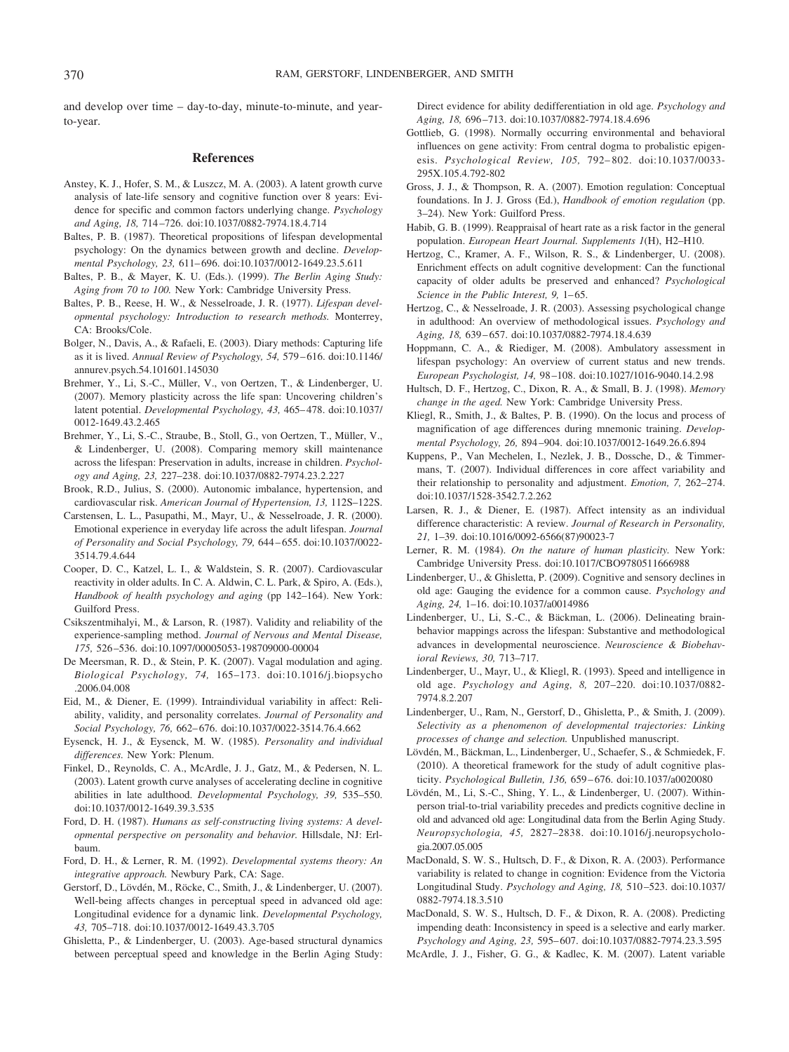and develop over time – day-to-day, minute-to-minute, and yearto-year.

#### **References**

- Anstey, K. J., Hofer, S. M., & Luszcz, M. A. (2003). A latent growth curve analysis of late-life sensory and cognitive function over 8 years: Evidence for specific and common factors underlying change. *Psychology and Aging, 18,* 714 –726. doi:10.1037/0882-7974.18.4.714
- Baltes, P. B. (1987). Theoretical propositions of lifespan developmental psychology: On the dynamics between growth and decline. *Developmental Psychology, 23,* 611– 696. doi:10.1037/0012-1649.23.5.611
- Baltes, P. B., & Mayer, K. U. (Eds.). (1999). *The Berlin Aging Study: Aging from 70 to 100.* New York: Cambridge University Press.
- Baltes, P. B., Reese, H. W., & Nesselroade, J. R. (1977). *Lifespan developmental psychology: Introduction to research methods.* Monterrey, CA: Brooks/Cole.
- Bolger, N., Davis, A., & Rafaeli, E. (2003). Diary methods: Capturing life as it is lived. *Annual Review of Psychology, 54,* 579 – 616. doi:10.1146/ annurev.psych.54.101601.145030
- Brehmer, Y., Li, S.-C., Müller, V., von Oertzen, T., & Lindenberger, U. (2007). Memory plasticity across the life span: Uncovering children's latent potential. *Developmental Psychology, 43, 465-478*. doi:10.1037/ 0012-1649.43.2.465
- Brehmer, Y., Li, S.-C., Straube, B., Stoll, G., von Oertzen, T., Müller, V., & Lindenberger, U. (2008). Comparing memory skill maintenance across the lifespan: Preservation in adults, increase in children. *Psychology and Aging, 23,* 227–238. doi:10.1037/0882-7974.23.2.227
- Brook, R.D., Julius, S. (2000). Autonomic imbalance, hypertension, and cardiovascular risk. *American Journal of Hypertension, 13,* 112S–122S.
- Carstensen, L. L., Pasupathi, M., Mayr, U., & Nesselroade, J. R. (2000). Emotional experience in everyday life across the adult lifespan. *Journal of Personality and Social Psychology, 79,* 644 – 655. doi:10.1037/0022- 3514.79.4.644
- Cooper, D. C., Katzel, L. I., & Waldstein, S. R. (2007). Cardiovascular reactivity in older adults. In C. A. Aldwin, C. L. Park, & Spiro, A. (Eds.), *Handbook of health psychology and aging* (pp 142–164). New York: Guilford Press.
- Csikszentmihalyi, M., & Larson, R. (1987). Validity and reliability of the experience-sampling method. *Journal of Nervous and Mental Disease, 175,* 526 –536. doi:10.1097/00005053-198709000-00004
- De Meersman, R. D., & Stein, P. K. (2007). Vagal modulation and aging. *Biological Psychology, 74,* 165–173. doi:10.1016/j.biopsycho .2006.04.008
- Eid, M., & Diener, E. (1999). Intraindividual variability in affect: Reliability, validity, and personality correlates. *Journal of Personality and Social Psychology, 76,* 662– 676. doi:10.1037/0022-3514.76.4.662
- Eysenck, H. J., & Eysenck, M. W. (1985). *Personality and individual differences.* New York: Plenum.
- Finkel, D., Reynolds, C. A., McArdle, J. J., Gatz, M., & Pedersen, N. L. (2003). Latent growth curve analyses of accelerating decline in cognitive abilities in late adulthood. *Developmental Psychology, 39,* 535–550. doi:10.1037/0012-1649.39.3.535
- Ford, D. H. (1987). *Humans as self-constructing living systems: A developmental perspective on personality and behavior.* Hillsdale, NJ: Erlbaum.
- Ford, D. H., & Lerner, R. M. (1992). *Developmental systems theory: An integrative approach.* Newbury Park, CA: Sage.
- Gerstorf, D., Lövdén, M., Röcke, C., Smith, J., & Lindenberger, U. (2007). Well-being affects changes in perceptual speed in advanced old age: Longitudinal evidence for a dynamic link. *Developmental Psychology, 43,* 705–718. doi:10.1037/0012-1649.43.3.705
- Ghisletta, P., & Lindenberger, U. (2003). Age-based structural dynamics between perceptual speed and knowledge in the Berlin Aging Study:

Direct evidence for ability dedifferentiation in old age. *Psychology and Aging, 18,* 696 –713. doi:10.1037/0882-7974.18.4.696

- Gottlieb, G. (1998). Normally occurring environmental and behavioral influences on gene activity: From central dogma to probalistic epigenesis. *Psychological Review, 105,* 792– 802. doi:10.1037/0033- 295X.105.4.792-802
- Gross, J. J., & Thompson, R. A. (2007). Emotion regulation: Conceptual foundations. In J. J. Gross (Ed.), *Handbook of emotion regulation* (pp. 3–24). New York: Guilford Press.
- Habib, G. B. (1999). Reappraisal of heart rate as a risk factor in the general population. *European Heart Journal. Supplements 1*(H), H2–H10.
- Hertzog, C., Kramer, A. F., Wilson, R. S., & Lindenberger, U. (2008). Enrichment effects on adult cognitive development: Can the functional capacity of older adults be preserved and enhanced? *Psychological Science in the Public Interest, 9, 1-65.*
- Hertzog, C., & Nesselroade, J. R. (2003). Assessing psychological change in adulthood: An overview of methodological issues. *Psychology and Aging, 18,* 639 – 657. doi:10.1037/0882-7974.18.4.639
- Hoppmann, C. A., & Riediger, M. (2008). Ambulatory assessment in lifespan psychology: An overview of current status and new trends. *European Psychologist, 14,* 98 –108. doi:10.1027/1016-9040.14.2.98
- Hultsch, D. F., Hertzog, C., Dixon, R. A., & Small, B. J. (1998). *Memory change in the aged.* New York: Cambridge University Press.
- Kliegl, R., Smith, J., & Baltes, P. B. (1990). On the locus and process of magnification of age differences during mnemonic training. *Developmental Psychology, 26,* 894 –904. doi:10.1037/0012-1649.26.6.894
- Kuppens, P., Van Mechelen, I., Nezlek, J. B., Dossche, D., & Timmermans, T. (2007). Individual differences in core affect variability and their relationship to personality and adjustment. *Emotion, 7,* 262–274. doi:10.1037/1528-3542.7.2.262
- Larsen, R. J., & Diener, E. (1987). Affect intensity as an individual difference characteristic: A review. *Journal of Research in Personality, 21,* 1–39. doi:10.1016/0092-6566(87)90023-7
- Lerner, R. M. (1984). *On the nature of human plasticity.* New York: Cambridge University Press. doi:10.1017/CBO9780511666988
- Lindenberger, U., & Ghisletta, P. (2009). Cognitive and sensory declines in old age: Gauging the evidence for a common cause. *Psychology and Aging, 24,* 1–16. doi:10.1037/a0014986
- Lindenberger, U., Li, S.-C., & Bäckman, L. (2006). Delineating brainbehavior mappings across the lifespan: Substantive and methodological advances in developmental neuroscience. *Neuroscience & Biobehavioral Reviews, 30,* 713–717.
- Lindenberger, U., Mayr, U., & Kliegl, R. (1993). Speed and intelligence in old age. *Psychology and Aging, 8,* 207–220. doi:10.1037/0882- 7974.8.2.207
- Lindenberger, U., Ram, N., Gerstorf, D., Ghisletta, P., & Smith, J. (2009). *Selectivity as a phenomenon of developmental trajectories: Linking processes of change and selection.* Unpublished manuscript.
- Lövdén, M., Bäckman, L., Lindenberger, U., Schaefer, S., & Schmiedek, F. (2010). A theoretical framework for the study of adult cognitive plasticity. *Psychological Bulletin, 136,* 659 – 676. doi:10.1037/a0020080
- Lövdén, M., Li, S.-C., Shing, Y. L., & Lindenberger, U. (2007). Withinperson trial-to-trial variability precedes and predicts cognitive decline in old and advanced old age: Longitudinal data from the Berlin Aging Study. *Neuropsychologia, 45,* 2827–2838. doi:10.1016/j.neuropsychologia.2007.05.005
- MacDonald, S. W. S., Hultsch, D. F., & Dixon, R. A. (2003). Performance variability is related to change in cognition: Evidence from the Victoria Longitudinal Study. *Psychology and Aging, 18,* 510 –523. doi:10.1037/ 0882-7974.18.3.510
- MacDonald, S. W. S., Hultsch, D. F., & Dixon, R. A. (2008). Predicting impending death: Inconsistency in speed is a selective and early marker. *Psychology and Aging, 23,* 595– 607. doi:10.1037/0882-7974.23.3.595
- McArdle, J. J., Fisher, G. G., & Kadlec, K. M. (2007). Latent variable